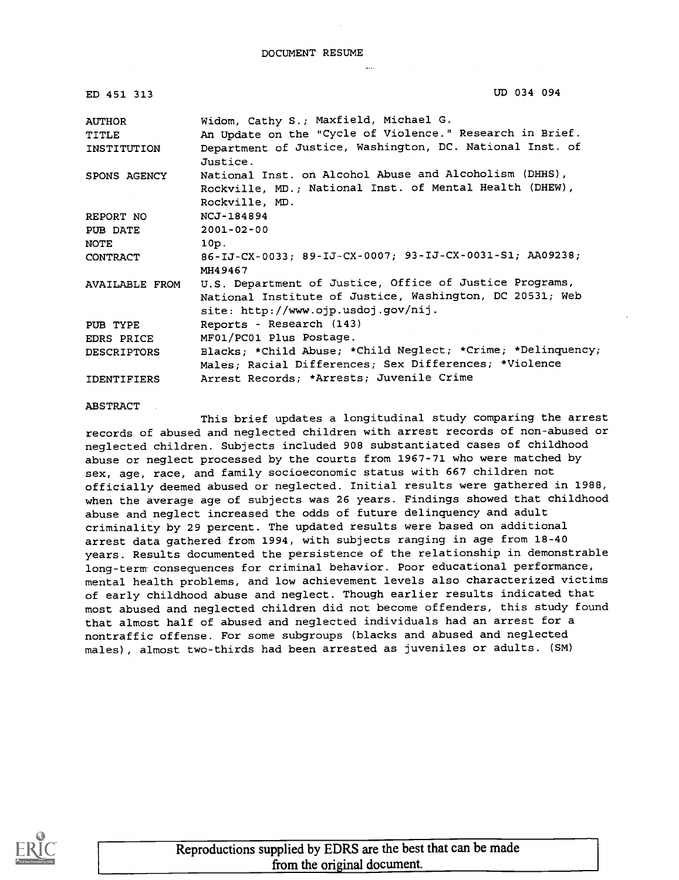| ED 451 313            | UD 034 094                                                                                      |
|-----------------------|-------------------------------------------------------------------------------------------------|
| AUTHOR                | Widom, Cathy S.; Maxfield, Michael G.                                                           |
| <b>TITLE</b>          | An Update on the "Cycle of Violence." Research in Brief.                                        |
| INSTITUTION           | Department of Justice, Washington, DC. National Inst. of<br>Justice.                            |
| SPONS AGENCY          | National Inst. on Alcohol Abuse and Alcoholism (DHHS),                                          |
|                       | Rockville, MD.; National Inst. of Mental Health (DHEW),                                         |
|                       | Rockville, MD.                                                                                  |
| REPORT NO             | NCJ-184894                                                                                      |
| PUB DATE              | 2001-02-00                                                                                      |
| <b>NOTE</b>           | 10p.                                                                                            |
| CONTRACT              | 86-IJ-CX-0033; 89-IJ-CX-0007; 93-IJ-CX-0031-S1; AA09238;<br>MH49467                             |
| <b>AVAILABLE FROM</b> | U.S. Department of Justice, Office of Justice Programs,                                         |
|                       | National Institute of Justice, Washington, DC 20531; Web<br>site: http://www.ojp.usdoj.gov/nij. |
| PUB TYPE              | Reports - Research (143)                                                                        |
| EDRS PRICE            | MF01/PC01 Plus Postage.                                                                         |
| DESCRIPTORS           | Blacks; *Child Abuse; *Child Neglect; *Crime; *Delinquency;                                     |
|                       | Males; Racial Differences; Sex Differences; *Violence                                           |
| <b>IDENTIFIERS</b>    | Arrest Records; *Arrests; Juvenile Crime                                                        |

ABSTRACT

This brief updates a longitudinal study comparing the arrest records of abused and neglected children with arrest records of non-abused or neglected children. Subjects included 908 substantiated cases of childhood abuse or neglect processed by the courts from 1967-71 who were matched by sex, age, race, and family socioeconomic status with 667 children not officially deemed abused or neglected. Initial results were gathered in 1988, when the average age of subjects was 26 years. Findings showed that childhood abuse and neglect increased the odds of future delinquency and adult criminality by 29 percent. The updated results were based on additional arrest data gathered from 1994, with subjects ranging in age from 18-40 years. Results documented the persistence of the relationship in demonstrable long-term consequences for criminal behavior. Poor educational performance, mental health problems, and low achievement levels also characterized victims of early childhood abuse and neglect. Though earlier results indicated that most abused and neglected children did not become offenders, this study found that almost half of abused and neglected individuals had an arrest for a nontraffic offense. For some subgroups (blacks and abused and neglected males), almost two-thirds had been arrested as juveniles or adults. (SM)



Reproductions supplied by EDRS are the best that can be made from the original document.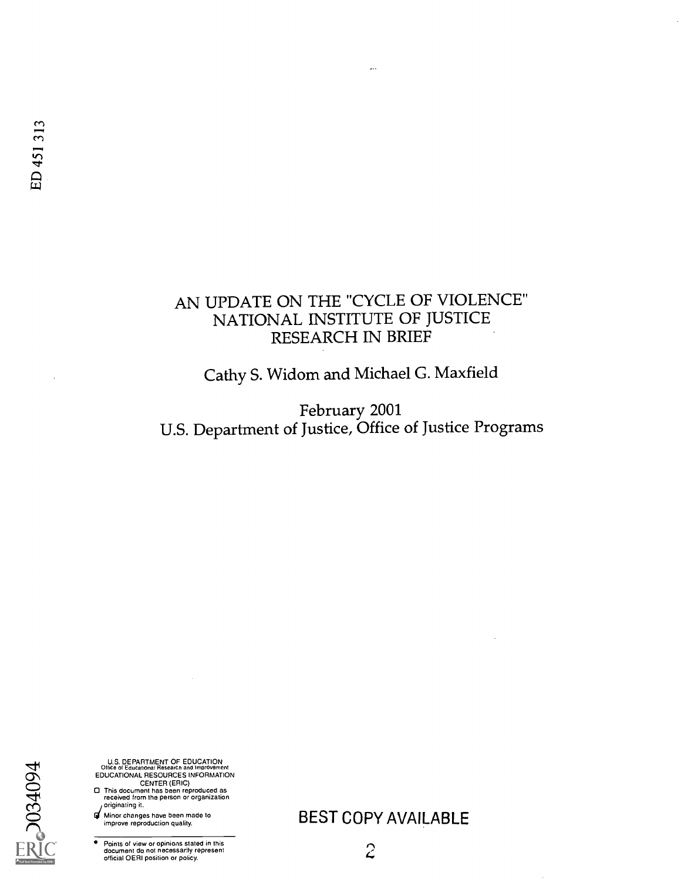# AN UPDATE ON THE "CYCLE OF VIOLENCE" NATIONAL INSTITUTE OF JUSTICE RESEARCH IN BRIEF

...

Cathy S. Widom and Michael G. Maxfield

February 2001 U.S. Department of Justice, Office of Justice Programs

 $\Delta$ U.S. DEPARTMENT OF EDUCATION Office of Educational Researcn and Improvement EDUCATIONAL RESOURCES INFORMATION<br>CENTER (ERIC)<br>C This document has been reproduced as<br>received from the person or organization<br>originating it. **C E** Minor changes have been made to<br>
improve reproduction quality.  $\bullet$ 

Points of view or opinions stated in this document do not necessarily represent official OERI position or policy.

BEST COPY AVAILABLE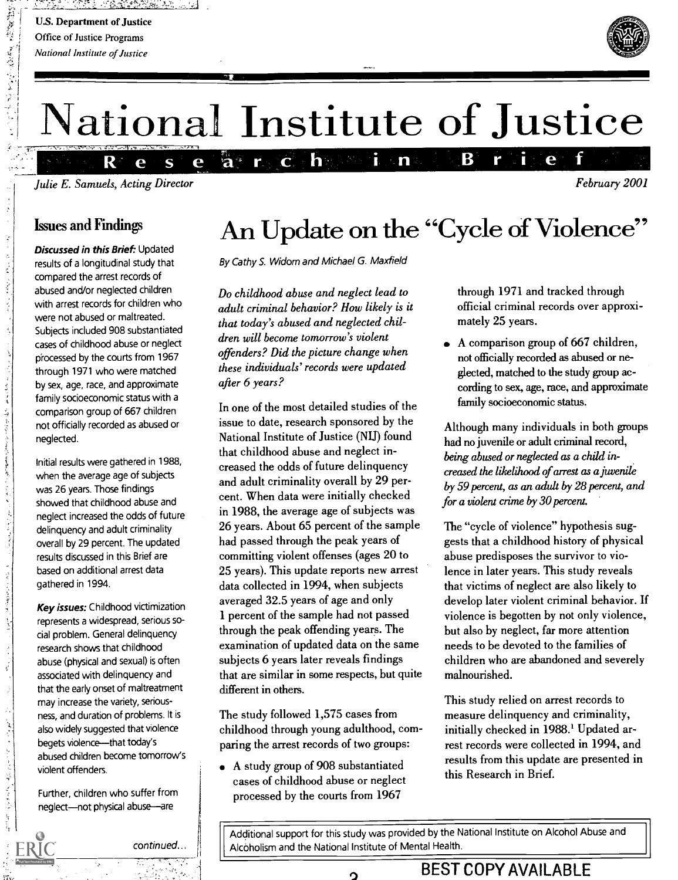新規教育 (を)受けない

 $\begin{array}{c} 1 \\ 1 \\ 2 \end{array}$ 

化苯甲苯 计类型字符

じゅうしゅ ふせんかい うんでもぎゃく フィル

**CAR CONSTRUCTION** 

 $\vec{\xi}$ 

ないしょ いしんしゅ 受す どうこうし もうしゅ

ZL Z



February 2001

# National Institute of Justice

i n

 $\mathbf{h}$ 

 $\overline{\mathbf{C}}$ 

 $a^*$ 

r.

R. Julie E. Samuels, Acting Director

 $\overline{\mathbf{S}}$ 

e

e

### Issues and Findings

Discussed in this Brief: Updated results of a longitudinal study that compared the arrest records of abused and/or neglected children with arrest records for children who were not abused or maltreated. Subjects included 908 substantiated cases of childhood abuse or neglect processed by the courts from 1967 through 1971 who were matched by sex, age, race, and approximate family socioeconomic status with a comparison group of 667 children not officially recorded as abused or neglected.

Initial results were gathered in 1988, when the average age of subjects was 26 years. Those findings showed that childhood abuse and neglect increased the odds of future delinquency and adult criminality overall by 29 percent. The updated results discussed in this Brief are based on additional arrest data gathered in 1994.

**Key issues:** Childhood victimization represents a widespread, serious social problem. General delinquency research shows that childhood abuse (physical and sexual) is often associated with delinquency and that the early onset of maltreatment may increase the variety, seriousness, and duration of problems. It is also widely suggested that violence begets violence----that today's abused children become tomorrow's violent offenders.

Further, children who suffer from neglect-not physical abuse-are

An Update on the "Cycle of Violence"

B

r

By Cathy S. Widom and Michael G. Maxfield

Do childhood abuse and neglect lead to adult criminal behavior? How likely is it that today's abused and neglected children will become tomorrow's violent offenders? Did the picture change when these individuals' records were updated after 6 years?

In one of the most detailed studies of the issue to date, research sponsored by the National Institute of Justice (NU) found that childhood abuse and neglect increased the odds of future delinquency and adult criminality overall by 29 percent. When data were initially checked in 1988, the average age of subjects was 26 years. About 65 percent of the sample had passed through the peak years of committing violent offenses (ages 20 to 25 years). This update reports new arrest data collected in 1994, when subjects averaged 32.5 years of age and only 1 percent of the sample had not passed through the peak offending years. The examination of updated data on the same subjects 6 years later reveals findings that are similar in some respects, but quite different in others.

The study followed 1,575 cases from childhood through young adulthood, comparing the arrest records of two groups:

A study group of 908 substantiated cases of childhood abuse or neglect processed by the courts from 1967

 $\mathbf{\Omega}$ 

through 1971 and tracked through official criminal records over approximately 25 years.

e

A comparison group of 667 children, not officially recorded as abused or neglected, matched to the study group according to sex, age, race, and approximate family socioeconomic status.

Although many individuals in both groups had no juvenile or adult criminal record, being abused or neglected as a child increased the likelihood of arrest as a juvenile by 59 percent, as an adult by 28 percent, and for a violent crime by 30 percent.

The "cycle of violence" hypothesis suggests that a childhood history of physical abuse predisposes the survivor to violence in later years. This study reveals that victims of neglect are also likely to develop later violent criminal behavior. If violence is begotten by not only violence, but also by neglect, far more attention needs to be devoted to the families of children who are abandoned and severely malnourished.

This study relied on arrest records to measure delinquency and criminality, initially checked in 1988.' Updated arrest records were collected in 1994, and results from this update are presented in this Research in Brief.

Additional support for this study was provided by the National Institute on Alcohol Abuse and Alcoholism and the National Institute of Mental Health.

 $\mathbf{H}$ 

BEST COPY AVAILABLE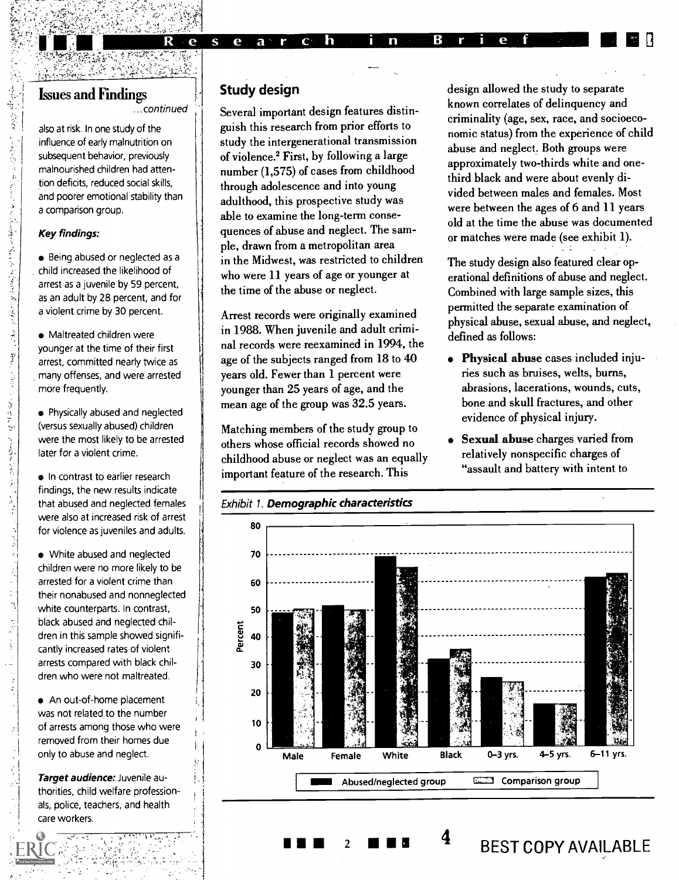## Issues and Findings

...continued

e

 $\mathbf{s}$ 

 $e^+$ 

also at risk. In one study of the influence of early malnutrition on subsequent behavior, previously malnourished children had attention deficits, reduced social skills, and poorer emotional stability than a comparison group.

With 1994 the Windows

#### Key findings:

ふなみと ふところにんだんをくぶらとうするもんじゅう くさい

医中国人名英法尔氏菌 医前缀不全是最有些感染病

 $\ddot{\cdot}$ 

 $\frac{1}{2}$ 

Being abused or neglected as a . child increased the likelihood of arrest as a juvenile by 59 percent, as an adult by 28 percent, and for a violent crime by 30 percent.

Maltreated children were younger at the time of their first arrest, committed nearly twice as many offenses, and were arrested more frequently.

Physically abused and neglected (versus sexually abused) children were the most likely to be arrested later for a violent crime.

• In contrast to earlier research findings, the new results indicate that abused and neglected females were also at increased risk of arrest for violence as juveniles and adults.

• White abused and neglected children were no more likely to be arrested for a violent crime than their nonabused and nonneglected white counterparts. In contrast, black abused and neglected children in this sample showed significantly increased rates of violent arrests compared with black children who were not maltreated.

An out-of-home placement was not related to the number of arrests among those who were removed from their homes due only to abuse and neglect.

Target audience: Juvenile authorities, child welfare professionals, police, teachers, and health care workers.

#### Study design

 $a$   $r$ 

 $\mathbf{C}$ h

Several important design features distinguish this research from prior efforts to study the intergenerational transmission of violence.2 First, by following a large number (1,575) of cases from childhood through adolescence and into young adulthood, this prospective study was able to examine the long-term consequences of abuse and neglect. The sample, drawn from a metropolitan area in the Midwest, was restricted to children who were 11 years of age or younger at the time of the abuse or neglect.

Arrest records were originally examined in 1988. When juvenile and adult criminal records were reexamined in 1994, the age of the subjects ranged from 18 to 40 years old. Fewer than 1 percent were younger than 25 years of age, and the mean age of the group was 32.5 years.

Matching members of the study group to others whose official records showed no childhood abuse or neglect was an equally important feature of the research. This

 $\overline{2}$ 

design allowed the study to separate known correlates of delinquency and criminality (age, sex, race, and socioeconomic status) from the experience of child abuse and neglect. Both groups were approximately two-thirds white and onethird black and were about evenly divided between males and females. Most were between the ages of 6 and 11 years old at the time the abuse was documented or matches were made (see exhibit 1).

The study design also featured clear operational definitions of abuse and neglect. Combined with large sample sizes, this permitted the separate examination of physical abuse, sexual abuse, and neglect, defined as follows:

- Physical abuse cases included injuries such as bruises, welts, burns, abrasions, lacerations, wounds, cuts, bone and skull fractures, and other evidence of physical injury.
- Sexual abuse charges varied from relatively nonspecific charges of "assault and battery with intent to

4 BEST COPY AVAILABLE



В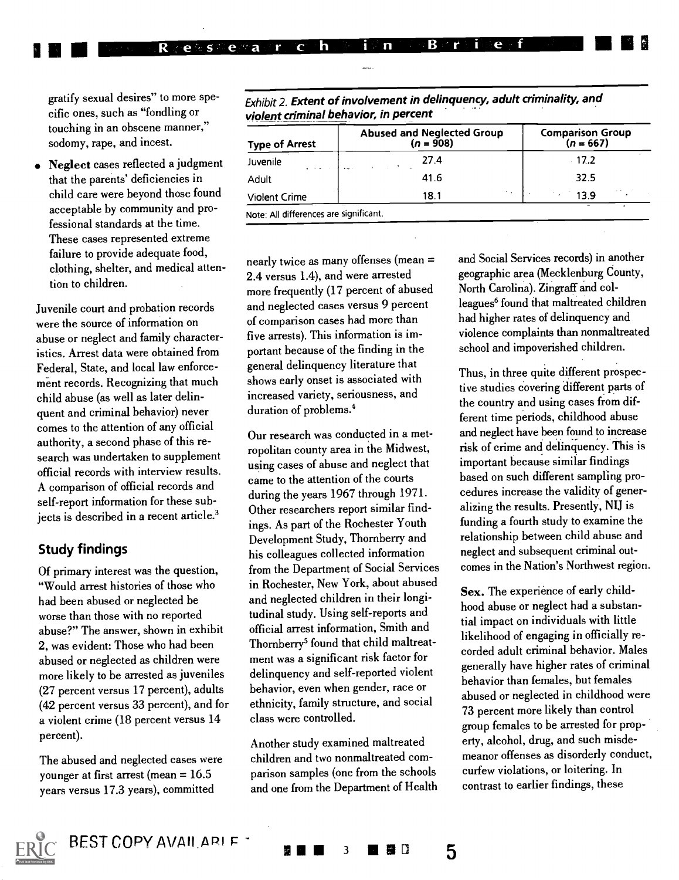gratify sexual desires" to more specific ones, such as "fondling or touching in an obscene manner," sodomy, rape, and incest.

R

 $\sim$   $\alpha \approx$   $\alpha$ 

 $\mathbf e$ 

 $\overline{a}$ P

Neglect cases reflected a judgment that the parents' deficiencies in child care were beyond those found acceptable by community and professional standards at the time. These cases represented extreme failure to provide adequate food, clothing, shelter, and medical attention to children.

Juvenile court and probation records were the source of information on abuse or neglect and family characteristics. Arrest data were obtained from Federal, State, and local law enforcement records. Recognizing that much child abuse (as well as later delinquent and criminal behavior) never comes to the attention of any official authority, a second phase of this research was undertaken to supplement official records with interview results. A comparison of official records and self-report information for these subjects is described in a recent article.<sup>3</sup>

#### Study findings

Of primary interest was the question, "Would arrest histories of those who had been abused or neglected be worse than those with no reported abuse?" The answer, shown in exhibit 2, was evident: Those who had been abused or neglected as children were more likely to be arrested as juveniles (27 percent versus 17 percent), adults (42 percent versus 33 percent), and for a violent crime (18 percent versus 14 percent).

The abused and neglected cases were younger at first arrest (mean = 16.5 years versus 17.3 years), committed

Exhibit 2. Extent of involvement in delinquency, adult criminality, and violent criminal behavior, in percent

B

i n

 $\overline{C}$ 

h.

| <b>Type of Arrest</b>                                       | <b>Abused and Neglected Group</b><br>$(n = 908)$ | Comparison Group<br>( $n = 667$ ) |
|-------------------------------------------------------------|--------------------------------------------------|-----------------------------------|
| Juvenile<br>$\mathbf{A}=\mathbf{A}+\mathbf{A}+\mathbf{A}$ . | 27.4<br>and the company of the com-              | $-17.2$                           |
| Adult                                                       | 41.6                                             | 32.5                              |
| Violent Crime                                               | $\sim$ $\sim$<br>18.1                            | 1. L<br>139                       |

 $\mathbf{e}$ 

nearly twice as many offenses (mean = 2.4 versus 1.4), and were arrested more frequently (17 percent of abused and neglected cases versus 9 percent of comparison cases had more than five arrests). This information is important because of the finding in the general delinquency literature that shows early onset is associated with increased variety, seriousness, and duration of problems.4

Our research was conducted in a metropolitan county area in the Midwest, using cases of abuse and neglect that came to the attention of the courts during the years 1967 through 1971. Other researchers report similar findings. As part of the Rochester Youth Development Study, Thomberry and his colleagues collected information from the Department of Social Services in Rochester, New York, about abused and neglected children in their longitudinal study. Using self-reports and official arrest information, Smith and Thornberry<sup>5</sup> found that child maltreatment was a significant risk factor for delinquency and self-reported violent behavior, even when gender, race or ethnicity, family structure, and social class were controlled.

Another study examined maltreated children and two nonmaltreated comparison samples (one from the schools and one from the Department of Health

3 **III A**I D

5

and Social Services records) in another geographic area (Mecklenburg County, North Carolina). Zingraff and colleagues<sup>6</sup> found that maltreated children had higher rates of delinquency and violence complaints than nonmaltreated school and impoverished children.

Thus, in three quite different prospective studies covering different parts of the country and using cases from different time periods, childhood abuse and neglect have been found to increase risk of crime and delinquency. This is important because similar findings based on such different sampling procedures increase the validity of generalizing the results. Presently, NIJ is funding a fourth study to examine the relationship between child abuse and neglect and subsequent criminal outcomes in the Nation's Northwest region.

Sex. The experience of early childhood abuse or neglect had a substantial impact on individuals with little likelihood of engaging in officially recorded adult criminal behavior. Males generally have higher rates of criminal behavior than females, but females abused or neglected in childhood were 73 percent more likely than control group females to be arrested for property, alcohol, drug, and such misdemeanor offenses as disorderly conduct, curfew violations, or loitering. In contrast to earlier findings, these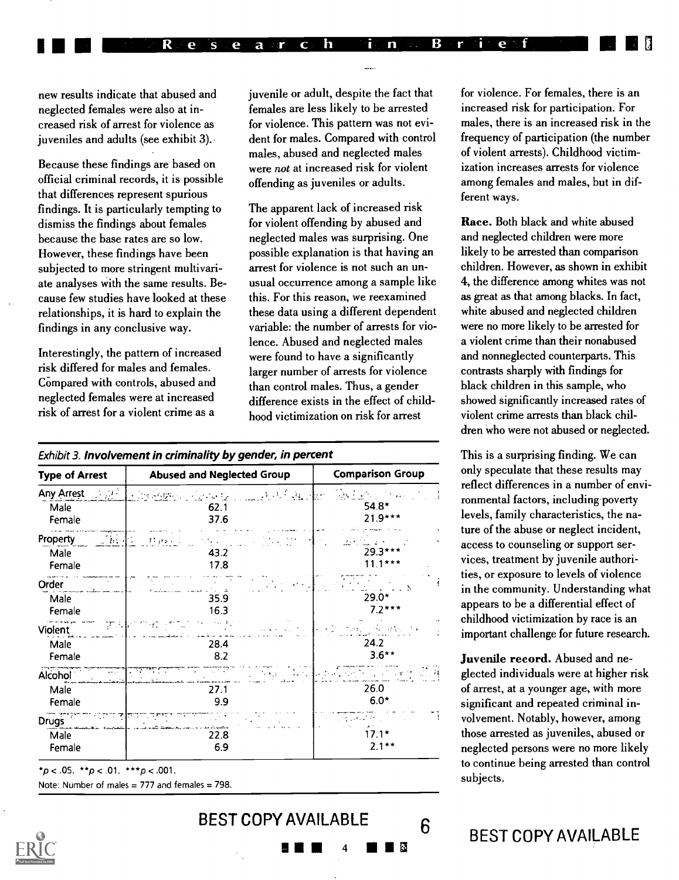new results indicate that abused and neglected females were also at increased risk of arrest for violence as juveniles and adults (see exhibit 3).

Because these findings are based on official criminal records, it is possible that differences represent spurious findings. It is particularly tempting to dismiss the findings about females because the base rates are so low. However, these findings have been subjected to more stringent multivariate analyses with the same results. Because few studies have looked at these relationships, it is hard to explain the findings in any conclusive way.

Interestingly, the pattern of increased risk differed for males and females. Compared with controls, abused and neglected females were at increased risk of arrest for a violent crime as a

juvenile or adult, despite the fact that females are less likely to be arrested for violence. This pattern was not evident for males. Compared with control males, abused and neglected males were not at increased risk for violent offending as juveniles or adults.

The apparent lack of increased risk for violent offending by abused and neglected males was surprising. One possible explanation is that having an arrest for violence is not such an unusual occurrence among a sample like this. For this reason, we reexamined these data using a different dependent variable: the number of arrests for violence. Abused and neglected males were found to have a significantly larger number of arrests for violence than control males. Thus, a gender difference exists in the effect of childhood victimization on risk for arrest

| Exhibit 3. <b>Involvement in criminality by gender, in percent</b> |  |  |
|--------------------------------------------------------------------|--|--|
|--------------------------------------------------------------------|--|--|

| <b>Type of Arrest</b>        |         | <b>Abused and Neglected Group</b>                                                                                                                                                                                                                                                                                             | <b>Comparison Group</b>   |  |  |  |  |
|------------------------------|---------|-------------------------------------------------------------------------------------------------------------------------------------------------------------------------------------------------------------------------------------------------------------------------------------------------------------------------------|---------------------------|--|--|--|--|
| Any Arrest <b>Any Arrest</b> |         | $\label{eq:2.1} \mathcal{L}(\mathbf{y}) = \mathcal{L}(\mathbf{y}) \mathcal{L}(\mathbf{y})$<br>$\left\{ \left\vert \psi \right\rangle \right\} \left\langle \psi \right\vert \left\langle \psi \right\rangle \left\langle \psi \right\rangle \left\langle \psi \right\rangle \left\langle \psi \right\rangle$<br>مرتقب والمراد | Tie Pyr<br>ht en          |  |  |  |  |
| Male<br>Female               |         | 62.1<br>37.6                                                                                                                                                                                                                                                                                                                  | $54.8*$<br>$21.9***$      |  |  |  |  |
| <b>Property</b>              | 不可      | بوطيئة                                                                                                                                                                                                                                                                                                                        |                           |  |  |  |  |
| Male<br>Female               |         | 43.2<br>17.8                                                                                                                                                                                                                                                                                                                  | 29.3***<br>$11.1***$      |  |  |  |  |
| Order                        |         |                                                                                                                                                                                                                                                                                                                               |                           |  |  |  |  |
| Male                         |         | 35.9                                                                                                                                                                                                                                                                                                                          | 29.0*                     |  |  |  |  |
| Female                       |         | 16.3                                                                                                                                                                                                                                                                                                                          | $7.2***$                  |  |  |  |  |
| Violent                      | 75 H    |                                                                                                                                                                                                                                                                                                                               | <b>Service</b>            |  |  |  |  |
| Male                         |         | 28.4                                                                                                                                                                                                                                                                                                                          | 24.2                      |  |  |  |  |
| Female                       |         | 8.2                                                                                                                                                                                                                                                                                                                           | $3.6**$                   |  |  |  |  |
| Alcohol <sup>'</sup>         | الأرادة | TP<br>77<br>$\sim$<br><b>START COMPANY</b><br>للرابط ومتعاقبهم                                                                                                                                                                                                                                                                | Literature of the Company |  |  |  |  |
| Male                         |         | 27.1                                                                                                                                                                                                                                                                                                                          | 26.0                      |  |  |  |  |
| Female                       |         | 9.9                                                                                                                                                                                                                                                                                                                           | $6.0*$                    |  |  |  |  |
| Drugs <sup>17</sup>          |         |                                                                                                                                                                                                                                                                                                                               | ويعرضه                    |  |  |  |  |
| Male                         |         | 22.8                                                                                                                                                                                                                                                                                                                          | $17.1*$                   |  |  |  |  |
| Female                       |         | 6.9                                                                                                                                                                                                                                                                                                                           | $2.1**$                   |  |  |  |  |

 $*p < .05$ .  $* p < .01$ .  $* * p < .001$ .

Note: Number of males  $= 777$  and females  $= 798$ .



BEST COPY AVAILABLE 6  $\blacksquare$ 

for violence. For females, there is an increased risk for participation. For males, there is an increased risk in the frequency of participation (the number of violent arrests). Childhood victimization increases arrests for violence among females and males, but in different ways.

Race. Both black and white abused and neglected children were more likely to be arrested than comparison children. However, as shown in exhibit 4, the difference among whites was not as great as that among blacks. In fact, white abused and neglected children were no more likely to be arrested for a violent crime than their nonabused and nonneglected counterparts. This contrasts sharply with findings for black children in this sample, who showed significantly increased rates of violent crime arrests than black children who were not abused or neglected.

This is a surprising finding. We can only speculate that these results may reflect differences in a number of environmental factors, including poverty levels, family characteristics, the nature of the abuse or neglect incident, access to counseling or support services, treatment by juvenile authorities, or exposure to levels of violence in the community. Understanding what appears to be a differential effect of childhood victimization by race is an important challenge for future research.

Juvenile record. Abused and neglected individuals were at higher risk of arrest, at a younger age, with more significant and repeated criminal involvement. Notably, however, among those arrested as juveniles, abused or neglected persons were no more likely to continue being arrested than control subjects.

# BEST COPY AVAILABLE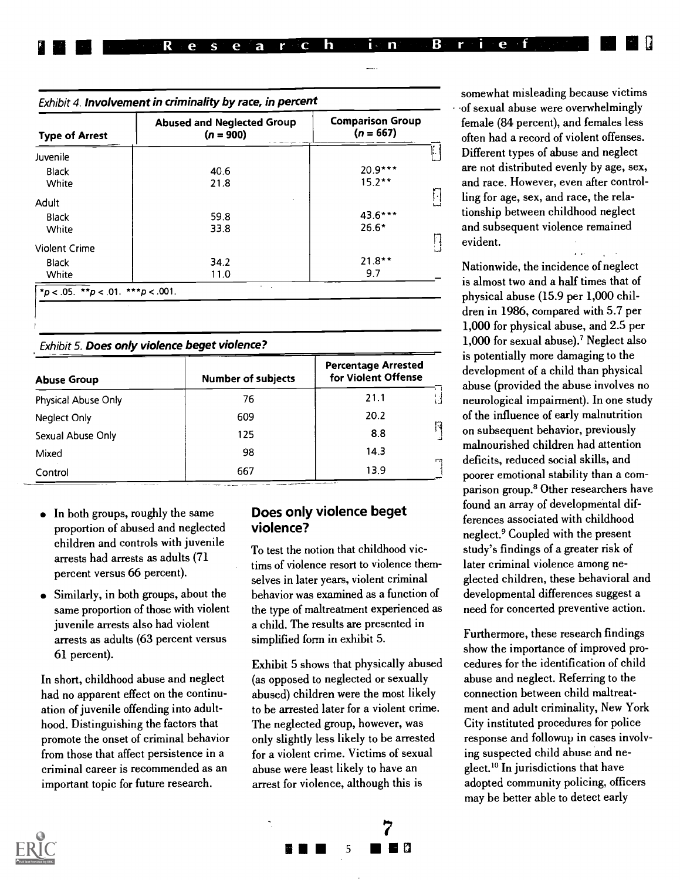|  | <b>A E E E E Re Research in PB rie for F E E</b> B |  |  |  |  |  |  |  |  |  |  |
|--|----------------------------------------------------|--|--|--|--|--|--|--|--|--|--|
|  |                                                    |  |  |  |  |  |  |  |  |  |  |

| <b>Type of Arrest</b> | <b>Comparison Group</b><br><b>Abused and Neglected Group</b><br>$(n = 667)$<br>$(n = 900)$ |          |  |  |  |  |
|-----------------------|--------------------------------------------------------------------------------------------|----------|--|--|--|--|
| Juvenile              |                                                                                            |          |  |  |  |  |
| Black                 | 40.6                                                                                       | 20.9***  |  |  |  |  |
| White                 | 21.8                                                                                       | $15.2**$ |  |  |  |  |
| Adult                 |                                                                                            |          |  |  |  |  |
| <b>Black</b>          | 59.8                                                                                       | 43.6***  |  |  |  |  |
| White                 | 33.8                                                                                       | $26.6*$  |  |  |  |  |
| <b>Violent Crime</b>  |                                                                                            |          |  |  |  |  |
| <b>Black</b>          | 34.2                                                                                       | $21.8**$ |  |  |  |  |
| White                 | 11.0                                                                                       | 9.7      |  |  |  |  |

Exhibit 5. Does only violence beget violence?

| <b>Abuse Group</b>  | <b>Number of subjects</b> | <b>Percentage Arrested</b><br>for Violent Offense |  |  |
|---------------------|---------------------------|---------------------------------------------------|--|--|
| Physical Abuse Only | 76                        | 21.1                                              |  |  |
| Neglect Only        | 609                       | 20.2                                              |  |  |
| Sexual Abuse Only   | 125                       | Π<br>8.8                                          |  |  |
| Mixed               | 98                        | 14.3<br>m                                         |  |  |
| Control             | 667                       | 13.9                                              |  |  |

- $\bullet$  In both groups, roughly the same proportion of abused and neglected children and controls with juvenile arrests had arrests as adults (71 percent versus 66 percent).
- Similarly, in both groups, about the same proportion of those with violent juvenile arrests also had violent arrests as adults (63 percent versus 61 percent).

In short, childhood abuse and neglect had no apparent effect on the continuation of juvenile offending into adulthood. Distinguishing the factors that promote the onset of criminal behavior from those that affect persistence in a criminal career is recommended as an important topic for future research.

#### Does only violence beget violence?

To test the notion that childhood victims of violence resort to violence themselves in later years, violent criminal behavior was examined as a function of the type of maltreatment experienced as a child. The results are presented in simplified form in exhibit 5.

Exhibit 5 shows that physically abused (as opposed to neglected or sexually abused) children were the most likely to be arrested later for a violent crime. The neglected group, however, was only slightly less likely to be arrested for a violent crime. Victims of sexual abuse were least likely to have an arrest for violence, although this is



somewhat misleading because victims of sexual abuse were overwhelmingly female (84 percent), and females less often had a record of violent offenses. Different types of abuse and neglect are not distributed evenly by age, sex, and race. However, even after controlling for age, sex, and race, the relationship between childhood neglect and subsequent violence remained evident.

Nationwide, the incidence of neglect is almost two and a half times that of physical abuse (15.9 per 1,000 children in 1986, compared with 5.7 per 1,000 for physical abuse, and 2.5 per 1,000 for sexual abuse).' Neglect also is potentially more damaging to the development of a child than physical abuse (provided the abuse involves no neurological impairment). In one study of the influence of early malnutrition on subsequent behavior, previously malnourished children had attention deficits, reduced social skills, and poorer emotional stability than a comparison group.8 Other researchers have found an array of developmental differences associated with childhood neglect.9 Coupled with the present study's findings of a greater risk of later criminal violence among neglected children, these behavioral and developmental differences suggest a need for concerted preventive action.

Furthermore, these research findings show the importance of improved procedures for the identification of child abuse and neglect. Referring to the connection between child maltreatment and adult criminality, New York City instituted procedures for police response and followup in cases involving suspected child abuse and neglect.<sup>10</sup> In jurisdictions that have adopted community policing, officers may be better able to detect early



I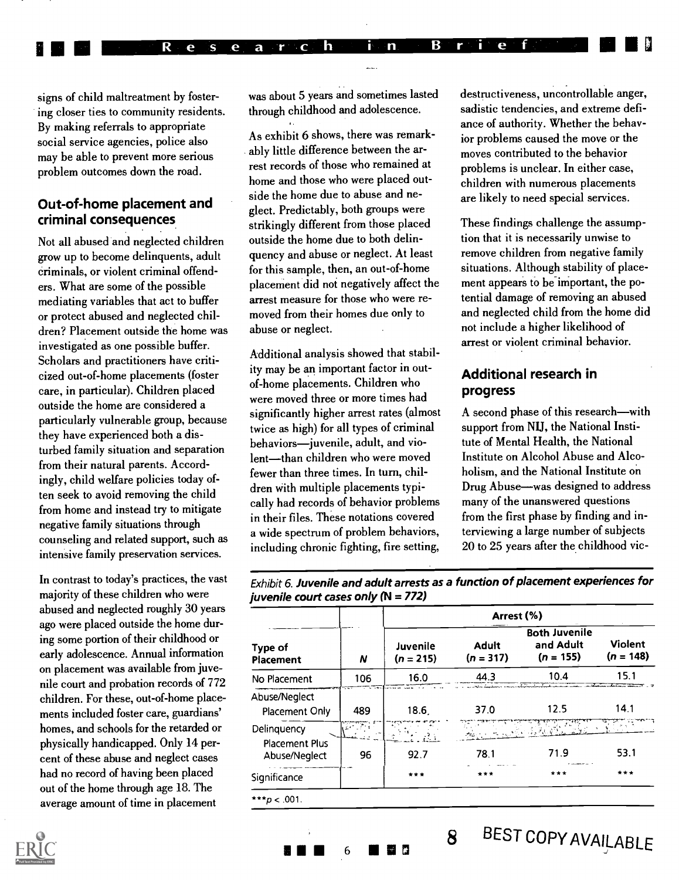signs of child maltreatment by fostering closer ties to community residents. By making referrals to appropriate social service agencies, police also may be able to prevent more serious problem outcomes down the road.

#### Out-of-home placement and criminal consequences

Not all abused and neglected children grow up to become delinquents, adult criminals, or violent criminal offenders. What are some of the possible mediating variables that act to buffer or protect abused and neglected children? Placement outside the home was investigated as one possible buffer. Scholars and practitioners have criticized out-of-home placements (foster care, in particular). Children placed outside the home are considered a particularly vulnerable group, because they have experienced both a disturbed family situation and separation from their natural parents. Accordingly, child welfare policies today often seek to avoid removing the child from home and instead try to mitigate negative family situations through counseling and related support, such as intensive family preservation services.

In contrast to today's practices, the vast majority of these children who were abused and neglected roughly 30 years ago were placed outside the home during some portion of their childhood or early adolescence. Annual information on placement was available from juvenile court and probation records of 772 children. For these, out-of-home placements included foster care, guardians' homes, and schools for the retarded or physically handicapped. Only 14 percent of these abuse and neglect cases had no record of having been placed out of the home through age 18. The average amount of time in placement

was about 5 years and sometimes lasted through childhood and adolescence.

lU EMU Research in Brief (1955)

As exhibit 6 shows, there was remarkably little difference between the arrest records of those who remained at home and those who were placed outside the home due to abuse and neglect. Predictably, both groups were strikingly different from those placed outside the home due to both delinquency and abuse or neglect. At least for this sample, then, an out-of-home placement did not negatively affect the arrest measure for those who were removed from their homes due only to abuse or neglect.

Additional analysis showed that stability may be an important factor in outof-home placements. Children who were moved three or more times had significantly higher arrest rates (almost twice as high) for all types of criminal behaviors-juvenile, adult, and violent-than children who were moved fewer than three times. In turn, children with multiple placements typically had records of behavior problems in their files. These notations covered a wide spectrum of problem behaviors, including chronic fighting, fire setting,

destructiveness, uncontrollable anger, sadistic tendencies, and extreme defiance of authority. Whether the behavior problems caused the move or the moves contributed to the behavior problems is unclear. In either case, children with numerous placements are likely to need special services.

These findings challenge the assumption that it is necessarily unwise to remove children from negative family situations. Although stability of placement appears to be important, the potential damage of removing an abused and neglected child from the home did not include a higher likelihood of arrest or violent criminal behavior.

#### Additional research in progress

A second phase of this research-with support from NIJ, the National Institute of Mental Health, the National Institute on Alcohol Abuse and Alcoholism, and the National Institute on Drug Abuse—was designed to address many of the unanswered questions from the first phase by finding and interviewing a large number of subjects 20 to 25 years after the childhood vic-

Exhibit 6. Juvenile and adult arrests as a function of placement experiences for juvenile court cases only  $(N = 772)$ 

|                                        |       |                         |                      | Arrest (%)                                       |                               |  |
|----------------------------------------|-------|-------------------------|----------------------|--------------------------------------------------|-------------------------------|--|
| Type of<br>Placement                   | Ν     | Juvenile<br>$(n = 215)$ | Adult<br>$(n = 317)$ | <b>Both Juvenile</b><br>and Adult<br>$(n = 155)$ | <b>Violent</b><br>$(n = 148)$ |  |
| No Placement                           | 106   | 16.0                    | 44.3                 | 10.4<br>75 T T T                                 | 15.1                          |  |
| Abuse/Neglect<br>Placement Only        | 489   | 18.6                    | 37.0                 | 12.5                                             | 14.1                          |  |
| Delinquency                            | 승규가 말 |                         |                      |                                                  |                               |  |
| <b>Placement Plus</b><br>Abuse/Neglect | 96    | 92.7                    | 78.1                 | 71.9                                             | 53.1                          |  |
| Significance                           |       | $***$                   | ***                  | ***                                              | $***$                         |  |
| *** $p < .001$ .                       |       |                         |                      |                                                  |                               |  |



6 **III M 8** BEST COPY AVAILABLE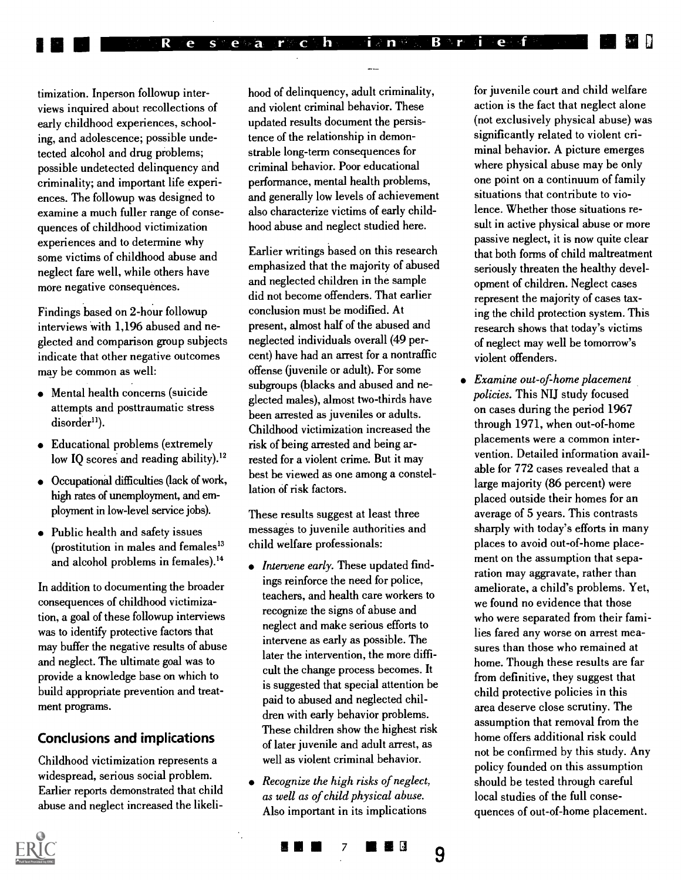timization. Inperson followup interviews inquired about recollections of early childhood experiences, schooling, and adolescence; possible undetected alcohol and drug problems; possible undetected delinquency and criminality; and important life experiences. The followup was designed to examine a much fuller range of consequences of childhood victimization experiences and to determine why some victims of childhood abuse and neglect fare well, while others have more negative consequences.

R.

e s

**III** III

Findings based on 2-hour followup interviews with 1,196 abused and neglected and comparison group subjects indicate that other negative outcomes may be common as well:

- Mental health concerns (suicide attempts and posttraumatic stress disorder<sup>11</sup>).
- Educational problems (extremely low IQ scores and reading ability).<sup>12</sup>
- Occupational difficulties (lack of work, high rates of unemployment, and employment in low-level service jobs).
- Public health and safety issues (prostitution in males and females'3 and alcohol problems in females).'4

In addition to documenting the broader consequences of childhood victimization, a goal of these followup interviews was to identify protective factors that may buffer the negative results of abuse and neglect. The ultimate goal was to provide a knowledge base on which to build appropriate prevention and treatment programs.

#### Conclusions and implications

Childhood victimization represents a widespread, serious social problem. Earlier reports demonstrated that child abuse and neglect increased the likelihood of delinquency, adult criminality, and violent criminal behavior. These updated results document the persistence of the relationship in demonstrable long-term consequences for criminal behavior. Poor educational performance, mental health problems, and generally low levels of achievement also characterize victims of early childhood abuse and neglect studied here.

h

 $B^{\circ n}r^2$ 

i a nasar

i e f

 $e$  a  $r c$ 

Earlier writings based on this research emphasized that the majority of abused and neglected children in the sample did not become offenders. That earlier conclusion must be modified. At present, almost half of the abused and neglected individuals overall (49 percent) have had an arrest for a nontraffic offense (juvenile or adult). For some subgroups (blacks and abused and neglected males), almost two-thirds have been arrested as juveniles or adults. Childhood victimization increased the risk of being arrested and being arrested for a violent crime. But it may best be viewed as one among a constellation of risk factors.

These results suggest at least three messages to juvenile authorities and child welfare professionals:

- Intervene early. These updated findings reinforce the need for police, teachers, and health care workers to recognize the signs of abuse and neglect and make serious efforts to intervene as early as possible. The later the intervention, the more difficult the change process becomes. It is suggested that special attention be paid to abused and neglected children with early behavior problems. These children show the highest risk of later juvenile and adult arrest, as well as violent criminal behavior.
- Recognize the high risks of neglect, as well as of child physical abuse. Also important in its implications

۳.

7 **NB** 20

9

for juvenile court and child welfare action is the fact that neglect alone (not exclusively physical abuse) was significantly related to violent criminal behavior. A picture emerges where physical abuse may be only one point on a continuum of family situations that contribute to violence. Whether those situations result in active physical abuse or more passive neglect, it is now quite clear that both forms of child maltreatment seriously threaten the healthy development of children. Neglect cases represent the majority of cases taxing the child protection system. This research shows that today's victims of neglect may well be tomorrow's violent offenders.

Examine out-of-home placement policies. This NU study focused on cases during the period 1967 through 1971, when out-of-home placements were a common intervention. Detailed information available for 772 cases revealed that a large majority (86 percent) were placed outside their homes for an average of 5 years. This contrasts sharply with today's efforts in many places to avoid out-of-home placement on the assumption that separation may aggravate, rather than ameliorate, a child's problems. Yet, we found no evidence that those who were separated from their families fared any worse on arrest measures than those who remained at home. Though these results are far from definitive, they suggest that child protective policies in this area deserve close scrutiny. The assumption that removal from the home offers additional risk could not be confirmed by this study. Any policy founded on this assumption should be tested through careful local studies of the full consequences of out-of-home placement.

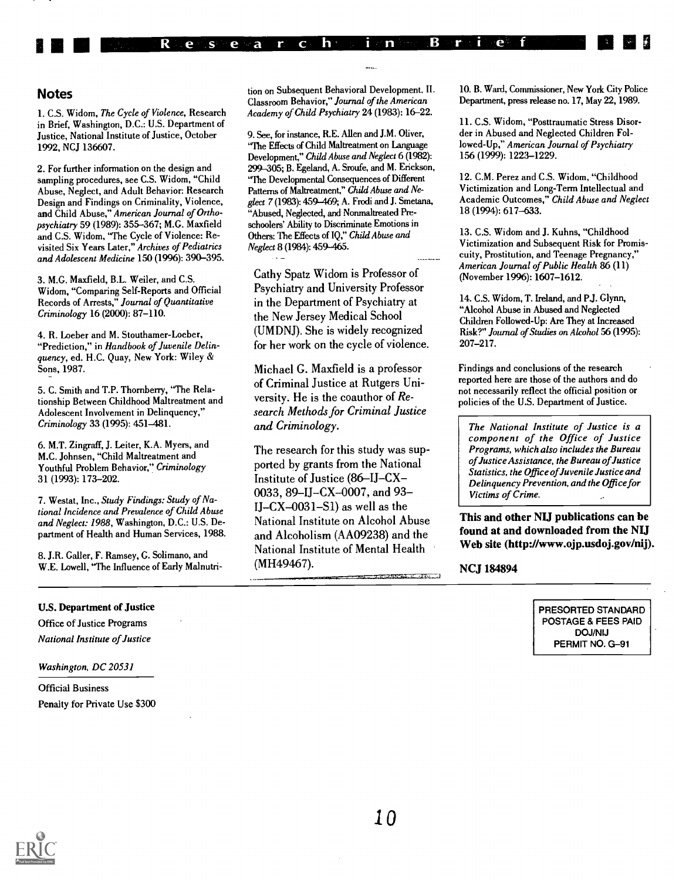#### **Notes**

1 11

1. C.S. Widom, The Cycle of Violence, Research in Brief, Washington, D.C.: U.S. Department of Justice, National Institute of Justice, October 1992, NCJ 136607.

R

e  $S^1$  e  $\vee$  a T

 $\mathbf C$ 

2. For further information on the design and sampling procedures, see C.S. Widom, "Child Abuse, Neglect, and Adult Behavior: Research Design and Findings on Criminality, Violence, and Child Abuse," American Journal of Orthopsychiatry 59 (1989): 355-367; M.G. Maxfield and C.S. Widom, "The Cycle of Violence: Revisited Six Years Later," Archives of Pediatrics and Adolescent Medicine 150 (1996): 390-395.

3. M.G. Maxfield, B.L. Weiler, and C.S. Widom, "Comparing Self-Reports and Official Records of Arrests," Journal of Quantitative Criminology 16 (2000): 87-110.

4. R. Loeber and M. Stouthamer-Loeber, "Prediction," in Handbook of Juvenile Delinquency, ed. H.C. Quay, New York: Wiley & Sons, 1987.

5. C. Smith and T.P. Thornberry, "The Relationship Between Childhood Maltreatment and Adolescent Involvement in Delinquency," Criminology 33 (1995): 451-481.

6. M.T. Zingraff, J. Leiter, K.A. Myers, and M.C. Johnsen, "Child Maltreatment and Youthful Problem Behavior," Criminology 31 (1993): 173-202.

7. Westat, Inc., Study Findings: Study of National Incidence and Prevalence of Child Abuse and Neglect: 1988, Washington, D.C.: U.S. Department of Health and Human Services, 1988.

8. J.R. Caller, F. Ramsey, G. Solimano, and W.E. Lowell, "The Influence of Early Malnutri-

#### U.S. Department of Justice

Office of Justice Programs National Institute of Justice

Washington, DC 20531

Official Business Penalty for Private Use \$300 tion on Subsequent Behavioral Development. II. Classroom Behavior," Journal of the American Academy of Child Psychiatry 24 (1983): 16-22.

 $h$ .

B

**POST** n

 $\mathbf n$ 

9. See, for instance, R.E. Allen and J.M. Oliver, "The Effects of Child Maltreatment on Language Development," Child Abuse and Neglect 6 (1982): 299-305; B. Egeland, A. Sroufe, and M. Erickson, "The Developmental Consequences of Different Patterns of Maltreatment," Child Abuse and Neglect 7 (1983): 459-469; A. Frodi and J. Smetana, "Abused, Neglected, and Nonmaltreated Preschoolers' Ability to Discriminate Emotions in Others: The Effects of IQ," Child Abuse and Neglect 8 (1984): 459-465.

Cathy Spatz Widom is Professor of Psychiatry and University Professor in the Department of Psychiatry at the New Jersey Medical School (UMDNJ). She is widely recognized for her work on the cycle of violence.

Michael G. Maxfield is a professor of Criminal Justice at Rutgers University. He is the coauthor of Research Methods for Criminal Justice and Criminology.

The research for this study was supported by grants from the National Institute of Justice (86-IJ-CX-0033, 89-IJ-CX-0007, and 93- $IJ-CX-0031-S1$  as well as the National Institute on Alcohol Abuse and Alcoholism (AA09238) and the National Institute of Mental Health (MH49467). .<br>ಕಾರಾನ್ಯ ಮಾಡಿದರು. ಟಿ. ಚಿತ್ರ ಪ್ರ 10. B. Ward, Commissioner, New York City Police Department, press release no. 17, May 22,1989.

 $-e^{-}$ 

11. C.S. Widom, "Posttraumatic Stress Disorder in Abused and Neglected Children Followed-Up," American Journal of Psychiatry 156 (1999): 1223-1229.

12. C.M. Perez and C.S. Widom, "Childhood Victimization and Long-Term Intellectual and Academic Outcomes," Child Abuse and Neglect 18 (1994): 617-633.

13. C.S. Widom and J. Kuhns, "Childhood Victimization and Subsequent Risk for Promiscuity, Prostitution, and Teenage Pregnancy," American Journal of Public Health 86 (11) (November 1996): 1607-1612.

14. C.S. Widom, T. Ireland, and P.J. Glynn, "Alcohol Abuse in Abused and Neglected Children Followed-Up: Are They at Increased Risk?" Journal of Studies on Alcohol 56 (1995): 207-217.

Findings and conclusions of the research reported here are those of the authors and do not necessarily reflect the official position or policies of the U.S. Department of Justice.

The National Institute of Justice is a component of the Office of Justice Programs, which also includes the Bureau of Justice Assistance, the Bureau of Justice Statistics, the Office of Juvenile Justice and Delinquency Prevention, and the Office for Victims of Crime.

This and other NIJ publications can be found at and downloaded from the NIJ Web site (http://www.ojp.usdoj.gov/nij).

NCJ 184894

PRESORTED STANDARD POSTAGE & FEES PAID DOJ/NIJ PERMIT NO. G-91